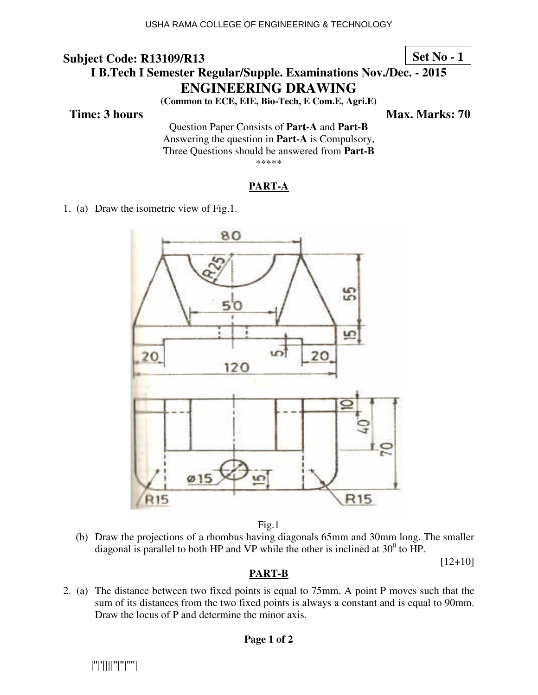**Set No - 1**

# **I B.Tech I Semester Regular/Supple. Examinations Nov./Dec. - 2015 ENGINEERING DRAWING**

**(Common to ECE, EIE, Bio-Tech, E Com.E, Agri.E)** 

**Time: 3 hours** Max. Marks: 70

Question Paper Consists of **Part-A** and **Part-B** Answering the question in **Part-A** is Compulsory, Three Questions should be answered from **Part-B** \*\*\*\*\*

#### **PART-A**

1. (a) Draw the isometric view of Fig.1.



Fig.1

 (b) Draw the projections of a rhombus having diagonals 65mm and 30mm long. The smaller diagonal is parallel to both HP and VP while the other is inclined at  $30^0$  to HP.

[12+10]

### **PART-B**

2. (a) The distance between two fixed points is equal to 75mm. A point P moves such that the sum of its distances from the two fixed points is always a constant and is equal to 90mm. Draw the locus of P and determine the minor axis.

#### **Page 1 of 2**

|''|'||||''|''|''''|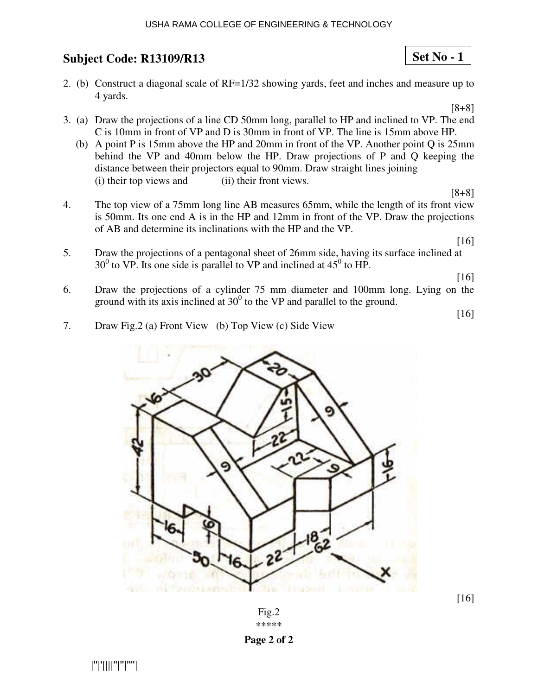#### USHA RAMA COLLEGE OF ENGINEERING & TECHNOLOGY

## **Subject Code: R13109/R13 13**

2. (b) Construct a diagonal scale of RF=1/32 showing yards, feet and inches and measure up to 4 yards.

[8+8]

**Set No - 1**

- 3. (a) Draw the projections of a line CD 50mm long, parallel to HP and inclined to VP. The end C is 10mm in front of VP and D is 30mm in front of VP. The line is 15mm above HP.
	- (b) A point P is 15mm above the HP and 20mm in front of the VP. Another point Q is  $25 \text{mm}$ behind the VP and 40mm below the HP. Draw projections of P and Q keeping the distance between their projectors equal to 90mm. Draw straight lines joining (i) their top views and (ii) their front views.
- 4. The top view of a 75mm long line AB measures 65mm, while the length of its front view is 50mm. Its one end A is in the HP and  $12 \text{mm}$  in front of the VP. Draw the projections of AB and determine its inclinations with the HP and the VP.

[16]

[8+8]

5. Draw the projections of a pentagonal sheet of 26mm side, having its surface inclined at  $30^0$  to VP. Its one side is parallel to VP and inclined at  $45^0$  to HP.

[16]

6. Draw the projections of a cylinder 75 mm diameter and 100mm long. Lying on the ground with its axis inclined at  $30^0$  to the VP and parallel to the ground.

[16]

7. Draw Fig.2 (a) Front View (b) Top View (c) Side View



[16]

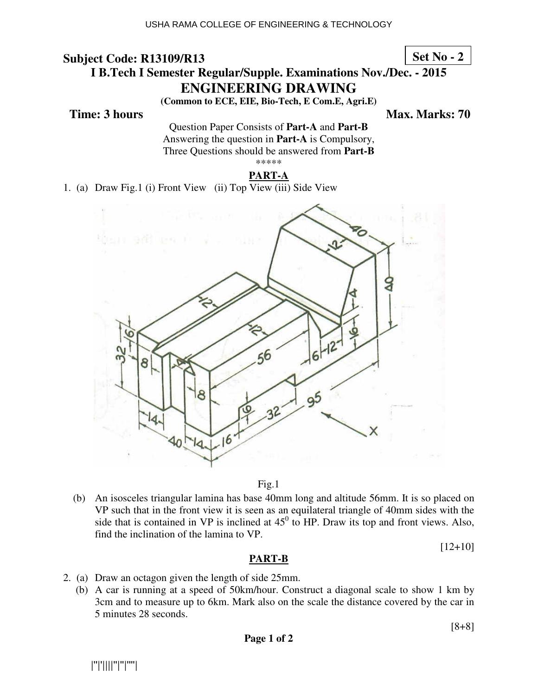**Set No - 2**

# **I B.Tech I Semester Regular/Supple. Examinations Nov./Dec. - 2015 ENGINEERING DRAWING**

**(Common to ECE, EIE, Bio-Tech, E Com.E, Agri.E)**

**Time: 3 hours** Max. Marks: 70

Question Paper Consists of **Part-A** and **Part-B** Answering the question in **Part-A** is Compulsory, Three Questions should be answered from **Part-B** \*\*\*\*\*

#### **PART-A**

1. (a) Draw Fig.1 (i) Front View (ii) Top View (iii) Side View



#### Fig.1

(b) An isosceles triangular lamina has base 40mm long and altitude 56mm. It is so placed on VP such that in the front view it is seen as an equilateral triangle of 40mm sides with the side that is contained in VP is inclined at  $45^{\circ}$  to HP. Draw its top and front views. Also, find the inclination of the lamina to VP.

 $[12+10]$ 

#### **PART-B**

2. (a) Draw an octagon given the length of side 25mm.

(b) A car is running at a speed of 50km/hour. Construct a diagonal scale to show 1 km by 3cm and to measure up to 6km. Mark also on the scale the distance covered by the car in 5 minutes 28 seconds.

[8+8]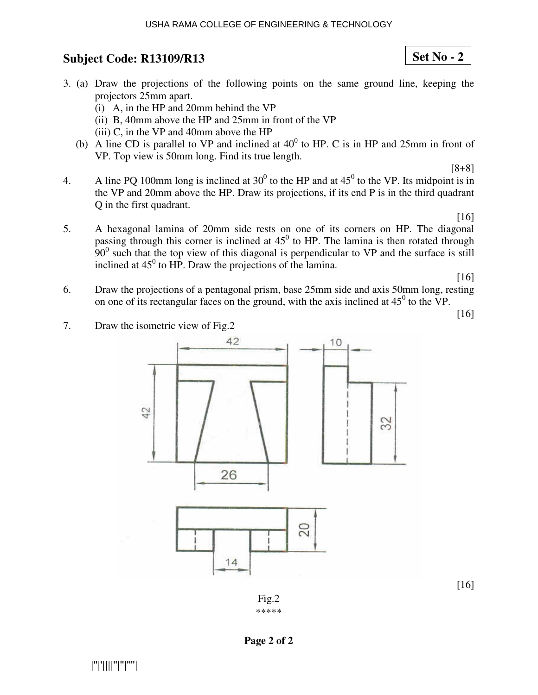#### USHA RAMA COLLEGE OF ENGINEERING & TECHNOLOGY

## **Subject Code: R13109/R13**

- 3. (a) Draw the projections of the following points on the same ground line, keeping the projectors 25mm apart.
	- (i) A, in the HP and 20mm behind the VP
	- (ii) B, 40mm above the HP and 25mm in front of the VP
	- (iii) C, in the VP and 40mm above the HP
	- (b) A line CD is parallel to VP and inclined at  $40^0$  to HP. C is in HP and 25mm in front of VP. Top view is 50mm long. Find its true length.
- 4. A line PQ 100mm long is inclined at  $30^0$  to the HP and at  $45^0$  to the VP. Its midpoint is in the VP and 20mm above the HP. Draw its projections, if its end P is in the third quadrant Q in the first quadrant.

[16]

[8+8]

5. A hexagonal lamina of 20mm side rests on one of its corners on HP. The diagonal passing through this corner is inclined at  $45^{\circ}$  to HP. The lamina is then rotated through  $90<sup>0</sup>$  such that the top view of this diagonal is perpendicular to VP and the surface is still inclined at  $45^{\circ}$  to HP. Draw the projections of the lamina.

[16]

6. Draw the projections of a pentagonal prism, base 25mm side and axis 50mm long, resting on one of its rectangular faces on the ground, with the axis inclined at  $45^{\circ}$  to the VP.

[16]

[16]





**Set No - 2**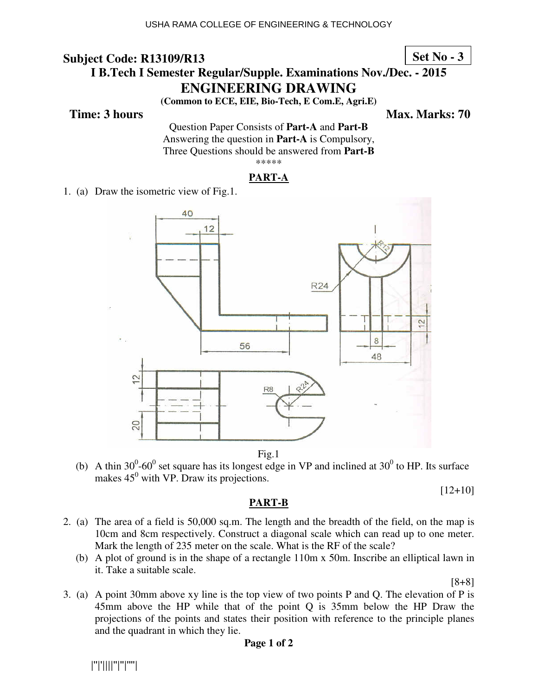**Set No - 3**

# **I B.Tech I Semester Regular/Supple. Examinations Nov./Dec. - 2015 ENGINEERING DRAWING**

**(Common to ECE, EIE, Bio-Tech, E Com.E, Agri.E)**

**Time: 3 hours** Max. Marks: 70

Question Paper Consists of **Part-A** and **Part-B** Answering the question in **Part-A** is Compulsory, Three Questions should be answered from **Part-B** \*\*\*\*\*

### **PART-A**

1. (a) Draw the isometric view of Fig.1.



Fig.1

(b) A thin 30<sup>0</sup>-60<sup>0</sup> set square has its longest edge in VP and inclined at 30<sup>0</sup> to HP. Its surface makes  $45^{\circ}$  with VP. Draw its projections.

[12+10]

#### **PART-B**

- 2. (a) The area of a field is 50,000 sq.m. The length and the breadth of the field, on the map is 10cm and 8cm respectively. Construct a diagonal scale which can read up to one meter. Mark the length of 235 meter on the scale. What is the RF of the scale?
	- (b) A plot of ground is in the shape of a rectangle 110m x 50m. Inscribe an elliptical lawn in it. Take a suitable scale.

[8+8]

3. (a) A point 30mm above xy line is the top view of two points P and Q. The elevation of P is 45mm above the HP while that of the point Q is 35mm below the HP Draw the projections of the points and states their position with reference to the principle planes and the quadrant in which they lie.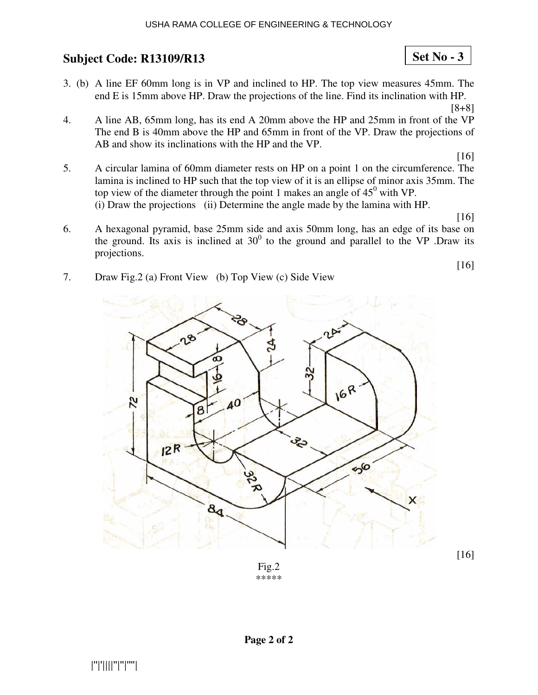- 3. (b) A line EF 60mm long is in VP and inclined to HP. The top view measures 45mm. The end E is 15mm above HP. Draw the projections of the line. Find its inclination with HP.
	- [8+8]

**Set No - 3**

4. A line AB, 65mm long, has its end A 20mm above the HP and 25mm in front of the VP The end B is 40mm above the HP and 65mm in front of the VP. Draw the projections of AB and show its inclinations with the HP and the VP.

[16]

5. A circular lamina of 60mm diameter rests on HP on a point 1 on the circumference. The lamina is inclined to HP such that the top view of it is an ellipse of minor axis 35mm. The top view of the diameter through the point 1 makes an angle of  $45^{\circ}$  with VP. (i) Draw the projections (ii) Determine the angle made by the lamina with HP.

[16]

[16]

- 6. A hexagonal pyramid, base 25mm side and axis 50mm long, has an edge of its base on the ground. Its axis is inclined at  $30^0$  to the ground and parallel to the VP .Draw its projections.
- 7. Draw Fig.2 (a) Front View (b) Top View (c) Side View



Fig.2 \*\*\*\*\*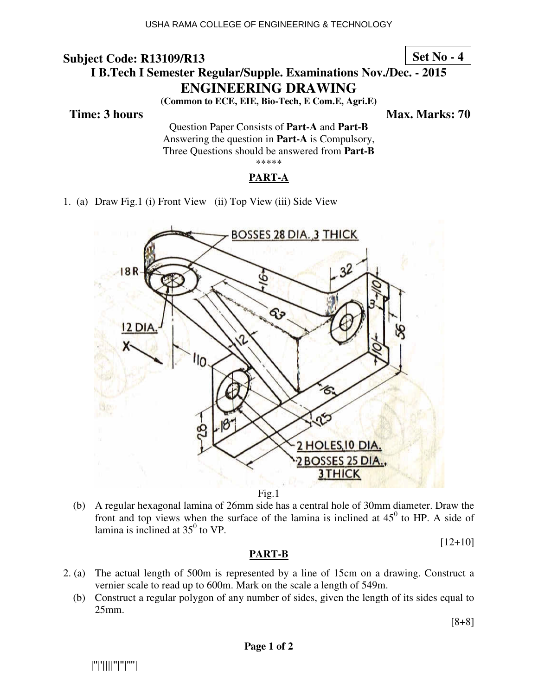**Set No - 4**

# **I B. Tech I Semester Regular/Supple. Examinations Nov./Dec. - 2015 ENG NGINEERING DRAWING**

**(Common on to ECE, EIE, Bio-Tech, E Com.E, Agri.E)**

 **Time: 3 hours** 

*Ma* **ax. Marks: 70**

Questio tion Paper Consists of **Part-A** and **Part-B** Answering the question in **Part-A** is Compulsory, Three Questions should be answered from Part-B \*\*\*\*\*

#### **PART-A**

1. (a) Draw Fig.1 (i) Front View (ii) Top View (iii) Side View



Fig.1

(b) A regular hexagonal lamina of 26mm side has a central hole of 30mm diameter. Draw the front and top views when the surface of the lamina is inclined at  $45^{\circ}$  to HP. A side of lamina is inclined at  $35^{\circ}$  to VP.

[12+10]

### **PART-B**

- 2. (a) The actual length of 500m is represented by a line of 15cm on a drawing. Construct a vernier scale to read up to 600m. Mark on the scale a length of 549m.
	- (b) Construct a regular polygon of any number of sides, given the length of its sides equal to 25mm.

[8+8]